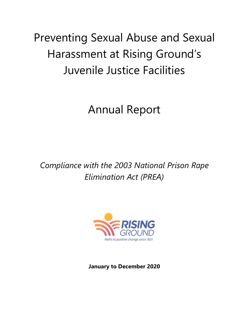# Preventing Sexual Abuse and Sexual Harassment at Rising Ground's Juvenile Justice Facilities

## Annual Report

*Compliance with the 2003 National Prison Rape Elimination Act (PREA)*



**January to December 2020**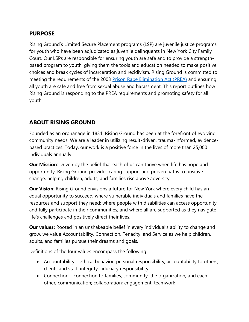#### **PURPOSE**

Rising Ground's Limited Secure Placement programs (LSP) are juvenile justice programs for youth who have been adjudicated as juvenile delinquents in New York City Family Court. Our LSPs are responsible for ensuring youth are safe and to provide a strengthbased program to youth, giving them the tools and education needed to make positive choices and break cycles of incarceration and recidivism. Rising Ground is committed to meeting the requirements of the 2003 [Prison Rape Elimination Act \(PREA\)](https://www.risingground.org/prea/) and ensuring all youth are safe and free from sexual abuse and harassment. This report outlines how Rising Ground is responding to the PREA requirements and promoting safety for all youth.

## **ABOUT RISING GROUND**

Founded as an orphanage in 1831, Rising Ground has been at the forefront of evolving community needs. We are a leader in utilizing result-driven, trauma-informed, evidencebased practices. Today, our work is a positive force in the lives of more than 25,000 individuals annually.

**Our Mission**: Driven by the belief that each of us can thrive when life has hope and opportunity, Rising Ground provides caring support and proven paths to positive change, helping children, adults, and families rise above adversity.

**Our Vision**: Rising Ground envisions a future for New York where every child has an equal opportunity to succeed; where vulnerable individuals and families have the resources and support they need; where people with disabilities can access opportunity and fully participate in their communities; and where all are supported as they navigate life's challenges and positively direct their lives.

**Our values:** Rooted in an unshakeable belief in every individual's ability to change and grow, we value Accountability, Connection, Tenacity, and Service as we help children, adults, and families pursue their dreams and goals.

Definitions of the four values encompass the following:

- Accountability ethical behavior; personal responsibility; accountability to others, clients and staff; integrity; fiduciary responsibility
- Connection connection to families, community, the organization, and each other; communication; collaboration; engagement; teamwork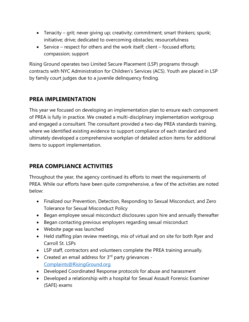- Tenacity grit; never giving up; creativity; commitment; smart thinkers; spunk; initiative; drive; dedicated to overcoming obstacles; resourcefulness
- Service respect for others and the work itself; client focused efforts; compassion; support

Rising Ground operates two Limited Secure Placement (LSP) programs through contracts with NYC Administration for Children's Services (ACS). Youth are placed in LSP by family court judges due to a juvenile delinquency finding.

#### **PREA IMPLEMENTATION**

This year we focused on developing an implementation plan to ensure each component of PREA is fully in practice. We created a multi-disciplinary implementation workgroup and engaged a consultant. The consultant provided a two-day PREA standards training, where we identified existing evidence to support compliance of each standard and ultimately developed a comprehensive workplan of detailed action items for additional items to support implementation.

## **PREA COMPLIANCE ACTIVITIES**

Throughout the year, the agency continued its efforts to meet the requirements of PREA. While our efforts have been quite comprehensive, a few of the activities are noted below:

- Finalized our Prevention, Detection, Responding to Sexual Misconduct, and Zero Tolerance for Sexual Misconduct Policy
- Began employee sexual misconduct disclosures upon hire and annually thereafter
- Began contacting previous employers regarding sexual misconduct
- Website page was launched
- Held staffing plan review meetings, mix of virtual and on site for both Ryer and Carroll St. LSPs
- LSP staff, contractors and volunteers complete the PREA training annually.
- Created an email address for  $3<sup>rd</sup>$  party grievances -[Complaints@RisingGround.org](mailto:Complaints@RisingGround.org)
- Developed Coordinated Response protocols for abuse and harassment
- Developed a relationship with a hospital for Sexual Assault Forensic Examiner (SAFE) exams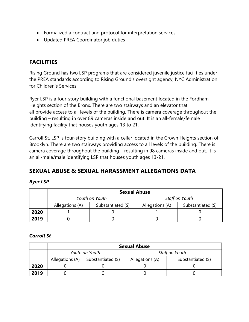- Formalized a contract and protocol for interpretation services
- Updated PREA Coordinator job duties

## **FACILITIES**

Rising Ground has two LSP programs that are considered juvenile justice facilities under the PREA standards according to Rising Ground's oversight agency, NYC Administration for Children's Services.

Ryer LSP is a four-story building with a functional basement located in the Fordham Heights section of the Bronx. There are two stairways and an elevator that all provide access to all levels of the building. There is camera coverage throughout the building – resulting in over 89 cameras inside and out. It is an all-female/female identifying facility that houses youth ages 13 to 21.

Carroll St. LSP is four-story building with a cellar located in the Crown Heights section of Brooklyn. There are two stairways providing access to all levels of the building. There is camera coverage throughout the building – resulting in 98 cameras inside and out. It is an all-male/male identifying LSP that houses youth ages 13-21.

#### **SEXUAL ABUSE & SEXUAL HARASSMENT ALLEGATIONS DATA**

#### *Ryer LSP*

|      | <b>Sexual Abuse</b> |                   |                 |                   |  |
|------|---------------------|-------------------|-----------------|-------------------|--|
|      | Youth on Youth      |                   | Staff on Youth  |                   |  |
|      | Allegations (A)     | Substantiated (S) | Allegations (A) | Substantiated (S) |  |
| 2020 |                     |                   |                 |                   |  |
| 2019 |                     |                   |                 |                   |  |

#### *Carroll St*

|      | <b>Sexual Abuse</b> |                   |                 |                   |  |
|------|---------------------|-------------------|-----------------|-------------------|--|
|      | Youth on Youth      |                   | Staff on Youth  |                   |  |
|      | Allegations (A)     | Substantiated (S) | Allegations (A) | Substantiated (S) |  |
| 2020 |                     |                   |                 |                   |  |
| 2019 |                     |                   |                 |                   |  |